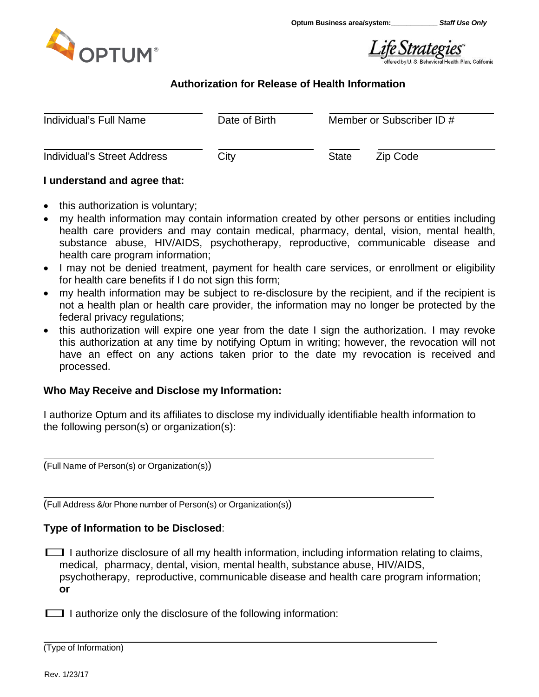

Life Strategies

# **Authorization for Release of Health Information**

| Individual's Full Name             | Date of Birth | Member or Subscriber ID # |  |  |
|------------------------------------|---------------|---------------------------|--|--|
| <b>Individual's Street Address</b> | City          | Zip Code<br><b>State</b>  |  |  |

## **I understand and agree that:**

- this authorization is voluntary;
- my health information may contain information created by other persons or entities including health care providers and may contain medical, pharmacy, dental, vision, mental health, substance abuse, HIV/AIDS, psychotherapy, reproductive, communicable disease and health care program information;
- I may not be denied treatment, payment for health care services, or enrollment or eligibility for health care benefits if I do not sign this form;
- my health information may be subject to re-disclosure by the recipient, and if the recipient is not a health plan or health care provider, the information may no longer be protected by the federal privacy regulations;
- this authorization will expire one year from the date I sign the authorization. I may revoke this authorization at any time by notifying Optum in writing; however, the revocation will not have an effect on any actions taken prior to the date my revocation is received and processed.

## **Who May Receive and Disclose my Information:**

I authorize Optum and its affiliates to disclose my individually identifiable health information to the following person(s) or organization(s):

(Full Name of Person(s) or Organization(s))

(Full Address &/or Phone number of Person(s) or Organization(s))

## **Type of Information to be Disclosed**:

 $\Box$  I authorize disclosure of all my health information, including information relating to claims, medical, pharmacy, dental, vision, mental health, substance abuse, HIV/AIDS, psychotherapy, reproductive, communicable disease and health care program information; **or**

 $\Box$  I authorize only the disclosure of the following information:

(Type of Information)